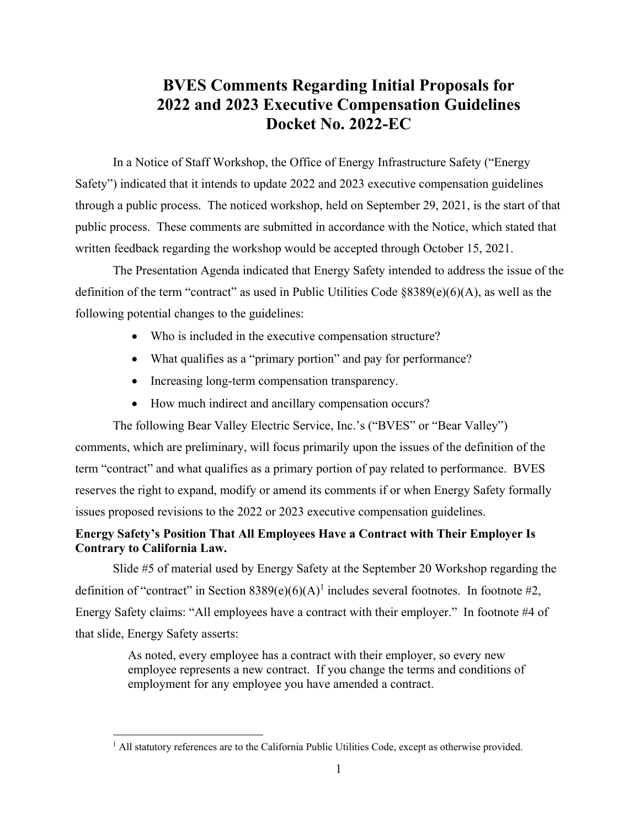# **BVES Comments Regarding Initial Proposals for 2022 and 2023 Executive Compensation Guidelines Docket No. 2022-EC**

In a Notice of Staff Workshop, the Office of Energy Infrastructure Safety ("Energy Safety") indicated that it intends to update 2022 and 2023 executive compensation guidelines through a public process. The noticed workshop, held on September 29, 2021, is the start of that public process. These comments are submitted in accordance with the Notice, which stated that written feedback regarding the workshop would be accepted through October 15, 2021.

The Presentation Agenda indicated that Energy Safety intended to address the issue of the definition of the term "contract" as used in Public Utilities Code §8389(e)(6)(A), as well as the following potential changes to the guidelines:

- Who is included in the executive compensation structure?
- What qualifies as a "primary portion" and pay for performance?
- Increasing long-term compensation transparency.
- How much indirect and ancillary compensation occurs?

The following Bear Valley Electric Service, Inc.'s ("BVES" or "Bear Valley") comments, which are preliminary, will focus primarily upon the issues of the definition of the term "contract" and what qualifies as a primary portion of pay related to performance. BVES reserves the right to expand, modify or amend its comments if or when Energy Safety formally issues proposed revisions to the 2022 or 2023 executive compensation guidelines.

# **Energy Safety's Position That All Employees Have a Contract with Their Employer Is Contrary to California Law.**

Slide #5 of material used by Energy Safety at the September 20 Workshop regarding the definition of "contract" in Section  $8389(e)(6)(A)^1$  includes several footnotes. In footnote #2, Energy Safety claims: "All employees have a contract with their employer." In footnote #4 of that slide, Energy Safety asserts:

> As noted, every employee has a contract with their employer, so every new employee represents a new contract. If you change the terms and conditions of employment for any employee you have amended a contract.

 $\overline{a}$ 

<sup>&</sup>lt;sup>1</sup> All statutory references are to the California Public Utilities Code, except as otherwise provided.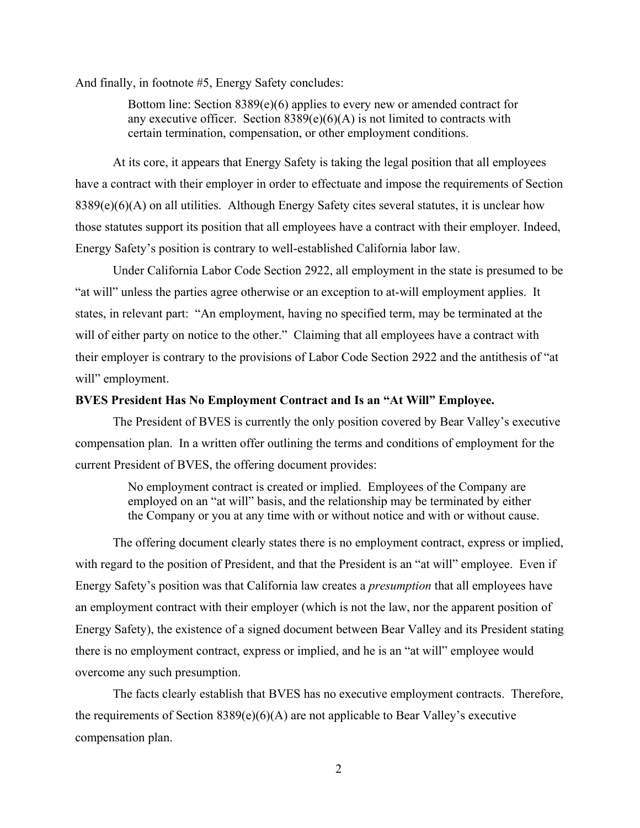And finally, in footnote #5, Energy Safety concludes:

Bottom line: Section  $8389(e)(6)$  applies to every new or amended contract for any executive officer. Section  $8389(e)(6)(A)$  is not limited to contracts with certain termination, compensation, or other employment conditions.

At its core, it appears that Energy Safety is taking the legal position that all employees have a contract with their employer in order to effectuate and impose the requirements of Section 8389(e)(6)(A) on all utilities. Although Energy Safety cites several statutes, it is unclear how those statutes support its position that all employees have a contract with their employer. Indeed, Energy Safety's position is contrary to well-established California labor law.

Under California Labor Code Section 2922, all employment in the state is presumed to be "at will" unless the parties agree otherwise or an exception to at-will employment applies. It states, in relevant part: "An employment, having no specified term, may be terminated at the will of either party on notice to the other." Claiming that all employees have a contract with their employer is contrary to the provisions of Labor Code Section 2922 and the antithesis of "at will" employment.

#### **BVES President Has No Employment Contract and Is an "At Will" Employee.**

The President of BVES is currently the only position covered by Bear Valley's executive compensation plan. In a written offer outlining the terms and conditions of employment for the current President of BVES, the offering document provides:

> No employment contract is created or implied. Employees of the Company are employed on an "at will" basis, and the relationship may be terminated by either the Company or you at any time with or without notice and with or without cause.

The offering document clearly states there is no employment contract, express or implied, with regard to the position of President, and that the President is an "at will" employee. Even if Energy Safety's position was that California law creates a *presumption* that all employees have an employment contract with their employer (which is not the law, nor the apparent position of Energy Safety), the existence of a signed document between Bear Valley and its President stating there is no employment contract, express or implied, and he is an "at will" employee would overcome any such presumption.

The facts clearly establish that BVES has no executive employment contracts. Therefore, the requirements of Section  $8389(e)(6)(A)$  are not applicable to Bear Valley's executive compensation plan.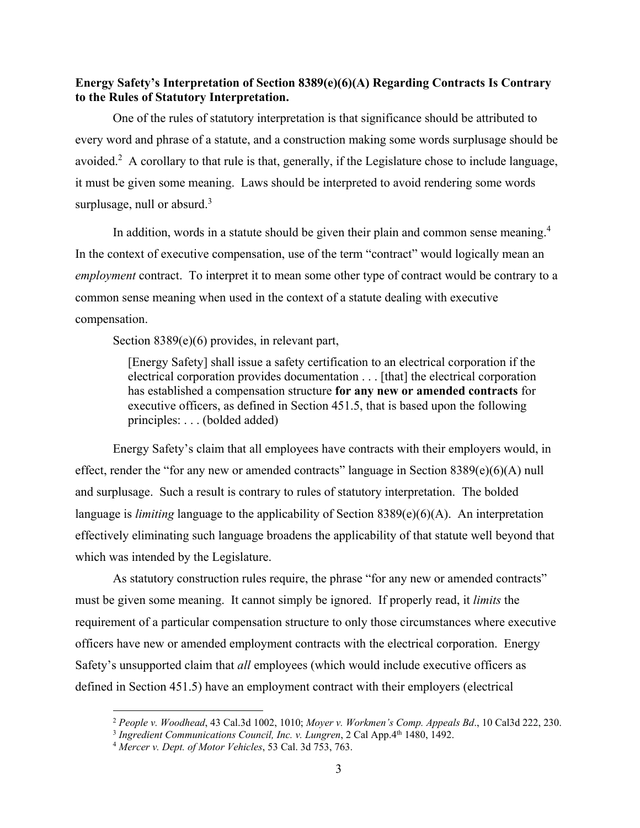### **Energy Safety's Interpretation of Section 8389(e)(6)(A) Regarding Contracts Is Contrary to the Rules of Statutory Interpretation.**

One of the rules of statutory interpretation is that significance should be attributed to every word and phrase of a statute, and a construction making some words surplusage should be avoided.<sup>2</sup> A corollary to that rule is that, generally, if the Legislature chose to include language, it must be given some meaning. Laws should be interpreted to avoid rendering some words surplusage, null or absurd.<sup>3</sup>

In addition, words in a statute should be given their plain and common sense meaning.<sup>4</sup> In the context of executive compensation, use of the term "contract" would logically mean an *employment* contract. To interpret it to mean some other type of contract would be contrary to a common sense meaning when used in the context of a statute dealing with executive compensation.

Section 8389(e)(6) provides, in relevant part,

[Energy Safety] shall issue a safety certification to an electrical corporation if the electrical corporation provides documentation . . . [that] the electrical corporation has established a compensation structure **for any new or amended contracts** for executive officers, as defined in Section 451.5, that is based upon the following principles: . . . (bolded added)

Energy Safety's claim that all employees have contracts with their employers would, in effect, render the "for any new or amended contracts" language in Section 8389(e)(6)(A) null and surplusage. Such a result is contrary to rules of statutory interpretation. The bolded language is *limiting* language to the applicability of Section 8389(e)(6)(A). An interpretation effectively eliminating such language broadens the applicability of that statute well beyond that which was intended by the Legislature.

As statutory construction rules require, the phrase "for any new or amended contracts" must be given some meaning. It cannot simply be ignored. If properly read, it *limits* the requirement of a particular compensation structure to only those circumstances where executive officers have new or amended employment contracts with the electrical corporation. Energy Safety's unsupported claim that *all* employees (which would include executive officers as defined in Section 451.5) have an employment contract with their employers (electrical

 $\overline{a}$ 

<sup>2</sup> *People v. Woodhead*, 43 Cal.3d 1002, 1010; *Moyer v. Workmen's Comp. Appeals Bd*., 10 Cal3d 222, 230.

<sup>&</sup>lt;sup>3</sup> Ingredient Communications Council, Inc. v. Lungren, 2 Cal App. 4<sup>th</sup> 1480, 1492.

<sup>4</sup> *Mercer v. Dept. of Motor Vehicles*, 53 Cal. 3d 753, 763.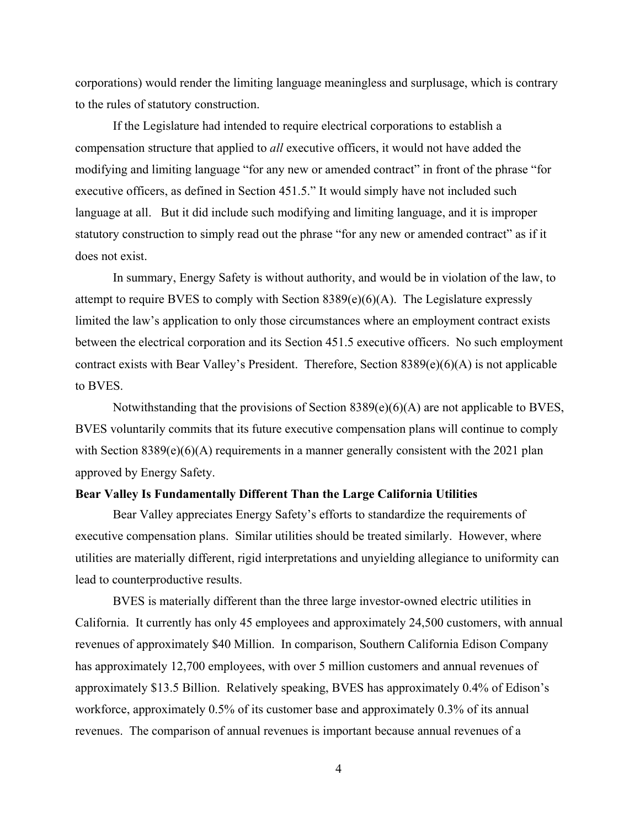corporations) would render the limiting language meaningless and surplusage, which is contrary to the rules of statutory construction.

If the Legislature had intended to require electrical corporations to establish a compensation structure that applied to *all* executive officers, it would not have added the modifying and limiting language "for any new or amended contract" in front of the phrase "for executive officers, as defined in Section 451.5." It would simply have not included such language at all. But it did include such modifying and limiting language, and it is improper statutory construction to simply read out the phrase "for any new or amended contract" as if it does not exist.

In summary, Energy Safety is without authority, and would be in violation of the law, to attempt to require BVES to comply with Section 8389(e)(6)(A). The Legislature expressly limited the law's application to only those circumstances where an employment contract exists between the electrical corporation and its Section 451.5 executive officers. No such employment contract exists with Bear Valley's President. Therefore, Section 8389(e)(6)(A) is not applicable to BVES.

Notwithstanding that the provisions of Section 8389(e)(6)(A) are not applicable to BVES, BVES voluntarily commits that its future executive compensation plans will continue to comply with Section 8389(e)(6)(A) requirements in a manner generally consistent with the 2021 plan approved by Energy Safety.

#### **Bear Valley Is Fundamentally Different Than the Large California Utilities**

Bear Valley appreciates Energy Safety's efforts to standardize the requirements of executive compensation plans. Similar utilities should be treated similarly. However, where utilities are materially different, rigid interpretations and unyielding allegiance to uniformity can lead to counterproductive results.

BVES is materially different than the three large investor-owned electric utilities in California. It currently has only 45 employees and approximately 24,500 customers, with annual revenues of approximately \$40 Million. In comparison, Southern California Edison Company has approximately 12,700 employees, with over 5 million customers and annual revenues of approximately \$13.5 Billion. Relatively speaking, BVES has approximately 0.4% of Edison's workforce, approximately 0.5% of its customer base and approximately 0.3% of its annual revenues. The comparison of annual revenues is important because annual revenues of a

4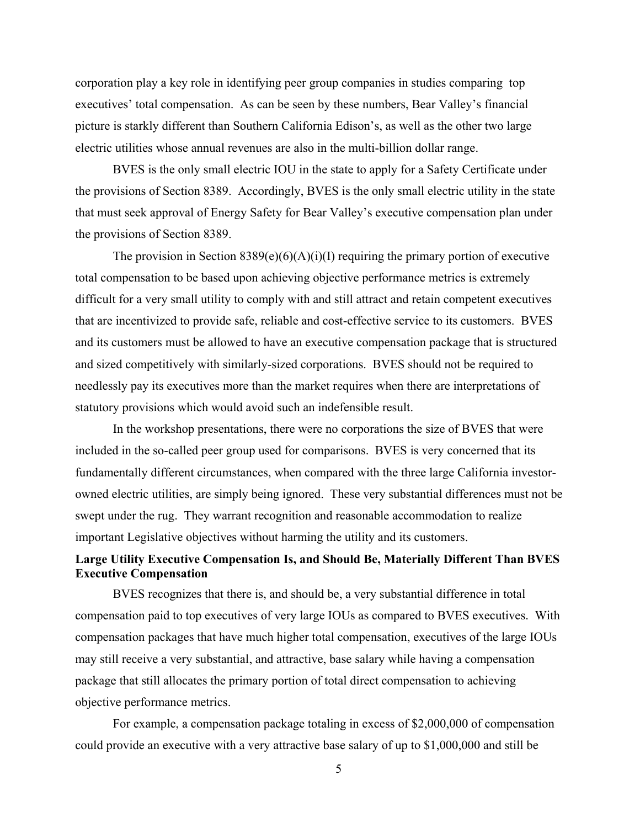corporation play a key role in identifying peer group companies in studies comparing top executives' total compensation. As can be seen by these numbers, Bear Valley's financial picture is starkly different than Southern California Edison's, as well as the other two large electric utilities whose annual revenues are also in the multi-billion dollar range.

BVES is the only small electric IOU in the state to apply for a Safety Certificate under the provisions of Section 8389. Accordingly, BVES is the only small electric utility in the state that must seek approval of Energy Safety for Bear Valley's executive compensation plan under the provisions of Section 8389.

The provision in Section  $8389(e)(6)(A)(i)(I)$  requiring the primary portion of executive total compensation to be based upon achieving objective performance metrics is extremely difficult for a very small utility to comply with and still attract and retain competent executives that are incentivized to provide safe, reliable and cost-effective service to its customers. BVES and its customers must be allowed to have an executive compensation package that is structured and sized competitively with similarly-sized corporations. BVES should not be required to needlessly pay its executives more than the market requires when there are interpretations of statutory provisions which would avoid such an indefensible result.

In the workshop presentations, there were no corporations the size of BVES that were included in the so-called peer group used for comparisons. BVES is very concerned that its fundamentally different circumstances, when compared with the three large California investorowned electric utilities, are simply being ignored. These very substantial differences must not be swept under the rug. They warrant recognition and reasonable accommodation to realize important Legislative objectives without harming the utility and its customers.

# **Large Utility Executive Compensation Is, and Should Be, Materially Different Than BVES Executive Compensation**

BVES recognizes that there is, and should be, a very substantial difference in total compensation paid to top executives of very large IOUs as compared to BVES executives. With compensation packages that have much higher total compensation, executives of the large IOUs may still receive a very substantial, and attractive, base salary while having a compensation package that still allocates the primary portion of total direct compensation to achieving objective performance metrics.

For example, a compensation package totaling in excess of \$2,000,000 of compensation could provide an executive with a very attractive base salary of up to \$1,000,000 and still be

5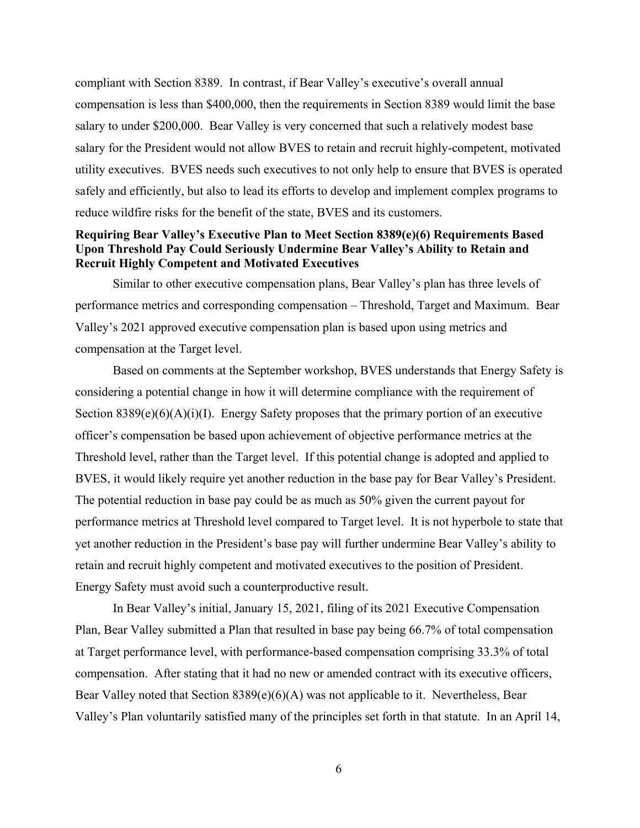compliant with Section 8389. In contrast, if Bear Valley's executive's overall annual compensation is less than \$400,000, then the requirements in Section 8389 would limit the base salary to under \$200,000. Bear Valley is very concerned that such a relatively modest base salary for the President would not allow BVES to retain and recruit highly-competent, motivated utility executives. BVES needs such executives to not only help to ensure that BVES is operated safely and efficiently, but also to lead its efforts to develop and implement complex programs to reduce wildfire risks for the benefit of the state, BVES and its customers.

### **Requiring Bear Valley's Executive Plan to Meet Section 8389(e)(6) Requirements Based Upon Threshold Pay Could Seriously Undermine Bear Valley's Ability to Retain and Recruit Highly Competent and Motivated Executives**

Similar to other executive compensation plans, Bear Valley's plan has three levels of performance metrics and corresponding compensation – Threshold, Target and Maximum. Bear Valley's 2021 approved executive compensation plan is based upon using metrics and compensation at the Target level.

Based on comments at the September workshop, BVES understands that Energy Safety is considering a potential change in how it will determine compliance with the requirement of Section  $8389(e)(6)(A)(i)(I)$ . Energy Safety proposes that the primary portion of an executive officer's compensation be based upon achievement of objective performance metrics at the Threshold level, rather than the Target level. If this potential change is adopted and applied to BVES, it would likely require yet another reduction in the base pay for Bear Valley's President. The potential reduction in base pay could be as much as 50% given the current payout for performance metrics at Threshold level compared to Target level. It is not hyperbole to state that yet another reduction in the President's base pay will further undermine Bear Valley's ability to retain and recruit highly competent and motivated executives to the position of President. Energy Safety must avoid such a counterproductive result.

In Bear Valley's initial, January 15, 2021, filing of its 2021 Executive Compensation Plan, Bear Valley submitted a Plan that resulted in base pay being 66.7% of total compensation at Target performance level, with performance-based compensation comprising 33.3% of total compensation. After stating that it had no new or amended contract with its executive officers, Bear Valley noted that Section 8389(e)(6)(A) was not applicable to it. Nevertheless, Bear Valley's Plan voluntarily satisfied many of the principles set forth in that statute. In an April 14,